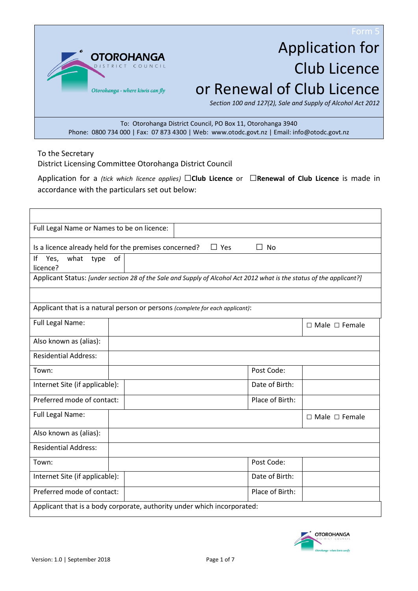**OTOROH** Otorohanga - where kiwis can fly

# Application for Club Licence or Renewal of Club Licence

*Section 100 and 127(2), Sale and Supply of Alcohol Act 2012*

To: Otorohanga District Council, PO Box 11, Otorohanga 3940 Phone: 0800 734 000 | Fax: 07 873 4300 | Web: www.otodc.govt.nz | Email: info@otodc.govt.nz

To the Secretary

District Licensing Committee Otorohanga District Council

Application for a *(tick which licence applies)* □**Club Licence** or □**Renewal of Club Licence** is made in accordance with the particulars set out below:

| Full Legal Name or Names to be on licence:                                                                           |    |  |                 |                           |
|----------------------------------------------------------------------------------------------------------------------|----|--|-----------------|---------------------------|
| $\Box$ Yes<br>$\Box$ No<br>Is a licence already held for the premises concerned?                                     |    |  |                 |                           |
| Ιf<br>what type<br>Yes,<br>licence?                                                                                  | of |  |                 |                           |
| Applicant Status: [under section 28 of the Sale and Supply of Alcohol Act 2012 what is the status of the applicant?] |    |  |                 |                           |
|                                                                                                                      |    |  |                 |                           |
| Applicant that is a natural person or persons (complete for each applicant):                                         |    |  |                 |                           |
| Full Legal Name:                                                                                                     |    |  |                 | $\Box$ Male $\Box$ Female |
| Also known as (alias):                                                                                               |    |  |                 |                           |
| <b>Residential Address:</b>                                                                                          |    |  |                 |                           |
| Town:                                                                                                                |    |  | Post Code:      |                           |
| Internet Site (if applicable):                                                                                       |    |  | Date of Birth:  |                           |
| Preferred mode of contact:                                                                                           |    |  | Place of Birth: |                           |
| Full Legal Name:                                                                                                     |    |  |                 | $\Box$ Male $\Box$ Female |
| Also known as (alias):                                                                                               |    |  |                 |                           |
| <b>Residential Address:</b>                                                                                          |    |  |                 |                           |
| Town:                                                                                                                |    |  | Post Code:      |                           |
| Internet Site (if applicable):                                                                                       |    |  | Date of Birth:  |                           |
| Preferred mode of contact:                                                                                           |    |  | Place of Birth: |                           |
| Applicant that is a body corporate, authority under which incorporated:                                              |    |  |                 |                           |

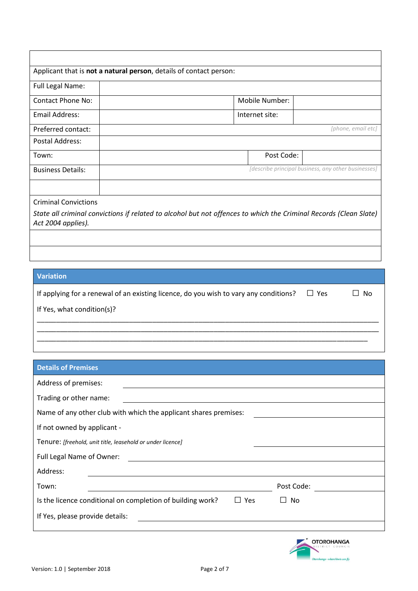| Applicant that is not a natural person, details of contact person:                                                                      |                |                                                     |  |
|-----------------------------------------------------------------------------------------------------------------------------------------|----------------|-----------------------------------------------------|--|
| <b>Full Legal Name:</b>                                                                                                                 |                |                                                     |  |
| Contact Phone No:                                                                                                                       | Mobile Number: |                                                     |  |
| Email Address:                                                                                                                          | Internet site: |                                                     |  |
| Preferred contact:                                                                                                                      |                | [phone, email etc]                                  |  |
| Postal Address:                                                                                                                         |                |                                                     |  |
| Town:                                                                                                                                   | Post Code:     |                                                     |  |
| <b>Business Details:</b>                                                                                                                |                | [describe principal business, any other businesses] |  |
|                                                                                                                                         |                |                                                     |  |
| <b>Criminal Convictions</b>                                                                                                             |                |                                                     |  |
| State all criminal convictions if related to alcohol but not offences to which the Criminal Records (Clean Slate)<br>Act 2004 applies). |                |                                                     |  |
|                                                                                                                                         |                |                                                     |  |

#### **Variation**

| If applying for a renewal of an existing licence, do you wish to vary any conditions? | $\Box$ Yes | $\Box$ No |
|---------------------------------------------------------------------------------------|------------|-----------|
| If Yes, what condition(s)?                                                            |            |           |
|                                                                                       |            |           |

\_\_\_\_\_\_\_\_\_\_\_\_\_\_\_\_\_\_\_\_\_\_\_\_\_\_\_\_\_\_\_\_\_\_\_\_\_\_\_\_\_\_\_\_\_\_\_\_\_\_\_\_\_\_\_\_\_\_\_\_\_\_\_\_\_\_\_\_\_\_\_\_\_\_\_\_\_\_\_\_\_\_\_\_\_\_

| <b>Details of Premises</b>                                                 |            |  |  |
|----------------------------------------------------------------------------|------------|--|--|
| Address of premises:                                                       |            |  |  |
| Trading or other name:                                                     |            |  |  |
| Name of any other club with which the applicant shares premises:           |            |  |  |
| If not owned by applicant -                                                |            |  |  |
| Tenure: [freehold, unit title, leasehold or under licence]                 |            |  |  |
| Full Legal Name of Owner:                                                  |            |  |  |
| Address:                                                                   |            |  |  |
| Town:                                                                      | Post Code: |  |  |
| Is the licence conditional on completion of building work?<br>$\sqcup$ Yes | No         |  |  |
| If Yes, please provide details:                                            |            |  |  |
|                                                                            |            |  |  |

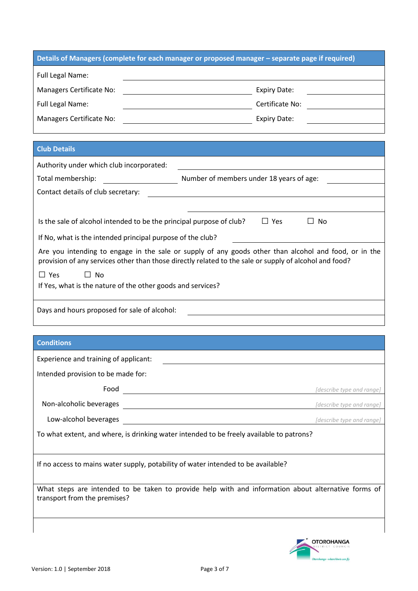| Details of Managers (complete for each manager or proposed manager - separate page if required)                                                                                                                 |                                                   |  |  |
|-----------------------------------------------------------------------------------------------------------------------------------------------------------------------------------------------------------------|---------------------------------------------------|--|--|
| Full Legal Name:                                                                                                                                                                                                |                                                   |  |  |
| Managers Certificate No:                                                                                                                                                                                        | <b>Expiry Date:</b>                               |  |  |
| Full Legal Name:                                                                                                                                                                                                | Certificate No:<br><u>and a strategic product</u> |  |  |
| Managers Certificate No:<br><u> 1990 - Johann Barbara, martin a</u>                                                                                                                                             | <b>Expiry Date:</b>                               |  |  |
|                                                                                                                                                                                                                 |                                                   |  |  |
| <b>Club Details</b>                                                                                                                                                                                             |                                                   |  |  |
| Authority under which club incorporated:                                                                                                                                                                        |                                                   |  |  |
| Total membership:                                                                                                                                                                                               | Number of members under 18 years of age:          |  |  |
| Contact details of club secretary:                                                                                                                                                                              |                                                   |  |  |
|                                                                                                                                                                                                                 |                                                   |  |  |
| Is the sale of alcohol intended to be the principal purpose of club?                                                                                                                                            | $\Box$ Yes<br>$\Box$ No                           |  |  |
| If No, what is the intended principal purpose of the club?                                                                                                                                                      |                                                   |  |  |
| Are you intending to engage in the sale or supply of any goods other than alcohol and food, or in the<br>provision of any services other than those directly related to the sale or supply of alcohol and food? |                                                   |  |  |
| $\Box$ Yes<br>$\Box$ No                                                                                                                                                                                         |                                                   |  |  |
| If Yes, what is the nature of the other goods and services?                                                                                                                                                     |                                                   |  |  |
| Days and hours proposed for sale of alcohol:                                                                                                                                                                    |                                                   |  |  |
|                                                                                                                                                                                                                 |                                                   |  |  |
|                                                                                                                                                                                                                 |                                                   |  |  |
| <b>Conditions</b>                                                                                                                                                                                               |                                                   |  |  |
| Experience and training of applicant:                                                                                                                                                                           |                                                   |  |  |
| Intended provision to be made for:                                                                                                                                                                              |                                                   |  |  |
| Food<br><u> 1989 - Johann John Stone, markin f</u>                                                                                                                                                              | [describe type and range]                         |  |  |
| Non-alcoholic beverages                                                                                                                                                                                         | [describe type and range]                         |  |  |
| Low-alcohol beverages                                                                                                                                                                                           | [describe type and range]                         |  |  |
| To what extent, and where, is drinking water intended to be freely available to patrons?                                                                                                                        |                                                   |  |  |
| If no access to mains water supply, potability of water intended to be available?                                                                                                                               |                                                   |  |  |
| What steps are intended to be taken to provide help with and information about alternative forms of<br>transport from the premises?                                                                             |                                                   |  |  |

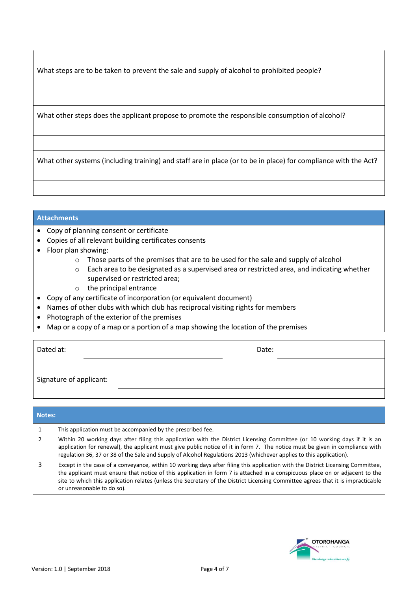What steps are to be taken to prevent the sale and supply of alcohol to prohibited people?

What other steps does the applicant propose to promote the responsible consumption of alcohol?

What other systems (including training) and staff are in place (or to be in place) for compliance with the Act?

#### **Attachments**

- Copy of planning consent or certificate
- Copies of all relevant building certificates consents
- Floor plan showing:
	- $\circ$  Those parts of the premises that are to be used for the sale and supply of alcohol
	- o Each area to be designated as a supervised area or restricted area, and indicating whether supervised or restricted area;
	- o the principal entrance
- Copy of any certificate of incorporation (or equivalent document)
- Names of other clubs with which club has reciprocal visiting rights for members
- Photograph of the exterior of the premises
- Map or a copy of a map or a portion of a map showing the location of the premises

| Dated at:               | Date: |
|-------------------------|-------|
|                         |       |
| Signature of applicant: |       |

#### **Notes:**

- 1 This application must be accompanied by the prescribed fee.
- 2 Within 20 working days after filing this application with the District Licensing Committee (or 10 working days if it is an application for renewal), the applicant must give public notice of it in form 7. The notice must be given in compliance with regulation 36, 37 or 38 of the Sale and Supply of Alcohol Regulations 2013 (whichever applies to this application).
- 3 Except in the case of a conveyance, within 10 working days after filing this application with the District Licensing Committee, the applicant must ensure that notice of this application in form 7 is attached in a conspicuous place on or adjacent to the site to which this application relates (unless the Secretary of the District Licensing Committee agrees that it is impracticable or unreasonable to do so).

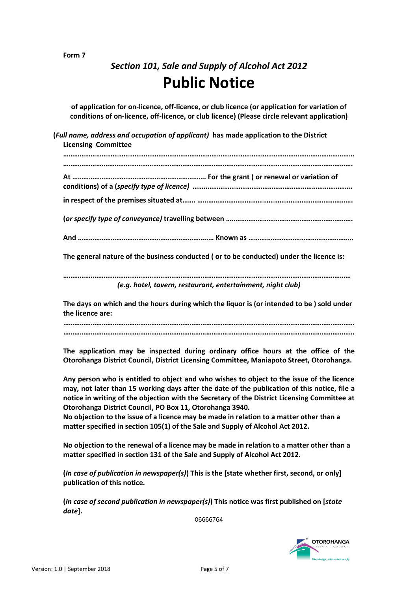#### **Form 7**

# *Section 101, Sale and Supply of Alcohol Act 2012* **Public Notice**

**of application for on-licence, off-licence, or club licence (or application for variation of conditions of on-licence, off-licence, or club licence) (Please circle relevant application)**

**(***Full name, address and occupation of applicant)* **has made application to the District Licensing Committee** 

**…………………………………………………………………………………………………………………………………………… ………………….………………………………………………………………………………………………………………………. At ………………………………………………………………. For the grant ( or renewal or variation of conditions) of a (***specify type of licence) ……..…………………………………………………………………….* **in respect of the premises situated at……. …………………………………………………………………………. (***or specify type of conveyance)* **travelling between …..………………………………………………………. And ……………………………………………………………..… Known as ……….………………………………………..**

**The general nature of the business conducted ( or to be conducted) under the licence is:**

**…………….……………………………………………………………………………………………………………………………** *(e.g. hotel, tavern, restaurant, entertainment, night club)*

**The days on which and the hours during which the liquor is (or intended to be ) sold under the licence are:**

**…………………………………………………………………………………………………………………………………………… ……………………………………………………………………………………………………………………………………………**

**The application may be inspected during ordinary office hours at the office of the Otorohanga District Council, District Licensing Committee, Maniapoto Street, Otorohanga.**

**Any person who is entitled to object and who wishes to object to the issue of the licence may, not later than 15 working days after the date of the publication of this notice, file a notice in writing of the objection with the Secretary of the District Licensing Committee at Otorohanga District Council, PO Box 11, Otorohanga 3940.**

**No objection to the issue of a licence may be made in relation to a matter other than a matter specified in section 105(1) of the Sale and Supply of Alcohol Act 2012.**

**No objection to the renewal of a licence may be made in relation to a matter other than a matter specified in section 131 of the Sale and Supply of Alcohol Act 2012.**

**(***In case of publication in newspaper(s)***) This is the [state whether first, second, or only] publication of this notice.**

**(***In case of second publication in newspaper(s)***) This notice was first published on [***state date***].**

06666764

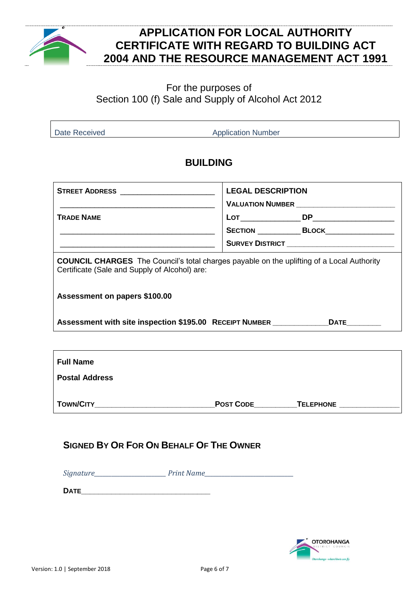

### **APPLICATION FOR LOCAL AUTHORITY CERTIFICATE WITH REGARD TO BUILDING ACT 2004 AND THE RESOURCE MANAGEMENT ACT 1991**

### For the purposes of Section 100 (f) Sale and Supply of Alcohol Act 2012

Date Received **Application Number** Application Number

### **BUILDING**

| <b>STREET ADDRESS</b> _________________________                                                                                                   | <b>LEGAL DESCRIPTION</b>       |                                                       |  |
|---------------------------------------------------------------------------------------------------------------------------------------------------|--------------------------------|-------------------------------------------------------|--|
|                                                                                                                                                   | VALUATION NUMBER <b>WALLER</b> |                                                       |  |
| <b>TRADE NAME</b>                                                                                                                                 |                                |                                                       |  |
|                                                                                                                                                   |                                | SECTION BLOCK BLOCK                                   |  |
| <u> 1980 - Jan James James James James James James James James James James James James James James James James J</u>                              |                                | <b>SURVEY DISTRICT</b> ______________________________ |  |
| <b>COUNCIL CHARGES</b> The Council's total charges payable on the uplifting of a Local Authority<br>Certificate (Sale and Supply of Alcohol) are: |                                |                                                       |  |
| Assessment on papers \$100.00                                                                                                                     |                                |                                                       |  |
| Assessment with site inspection \$195.00 RECEIPT NUMBER ______________DATE________                                                                |                                |                                                       |  |
|                                                                                                                                                   |                                |                                                       |  |
| <b>Full Name</b>                                                                                                                                  |                                |                                                       |  |
| <b>Postal Address</b>                                                                                                                             |                                |                                                       |  |

| <b>TOWN/CITY</b> | <b>POST CODE</b> | TELEPHONE |
|------------------|------------------|-----------|
|                  |                  |           |

### **SIGNED BY OR FOR ON BEHALF OF THE OWNER**

*Signature\_\_\_\_\_\_\_\_\_\_\_\_\_\_\_\_\_\_\_\_\_\_\_\_\_ Print Name\_\_\_\_\_\_\_\_\_\_\_\_\_\_\_\_\_\_\_\_\_\_\_\_\_\_\_\_\_\_\_* 

**DATE\_\_\_\_\_\_\_\_\_\_\_\_\_\_\_\_\_\_\_\_\_\_\_\_\_\_\_\_\_\_**